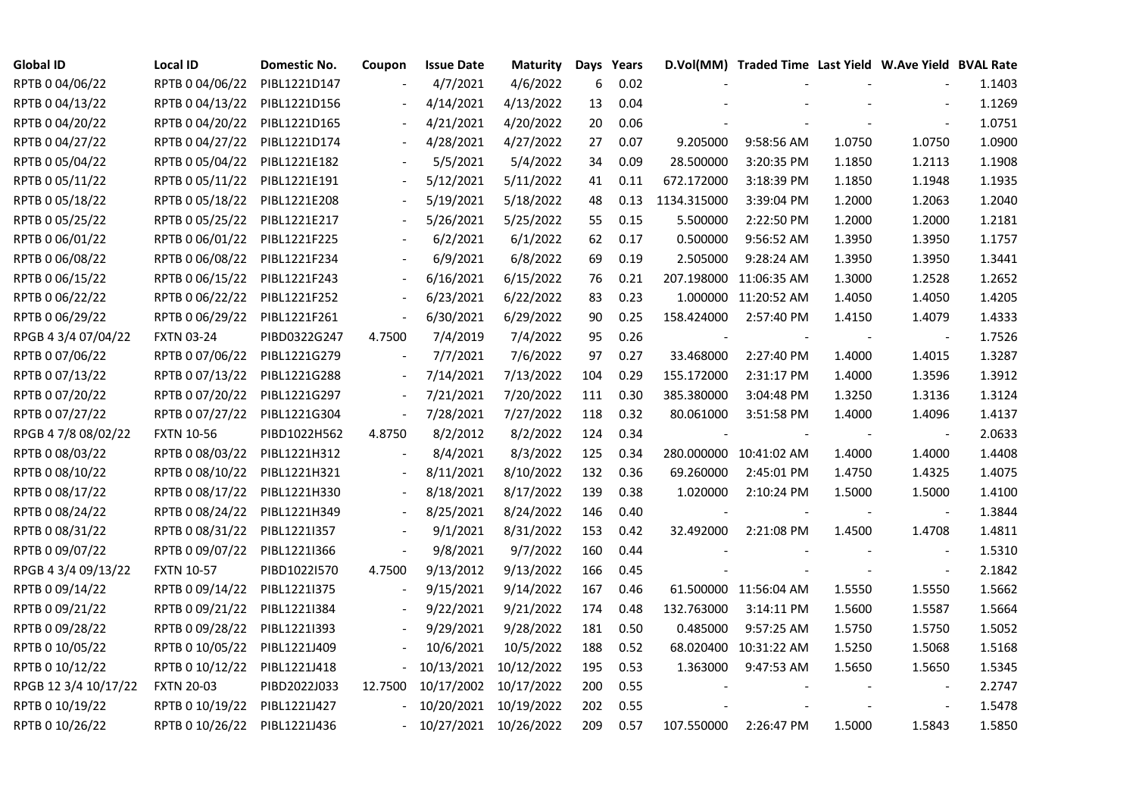| <b>Global ID</b>     | <b>Local ID</b>   | Domestic No. | Coupon                   | <b>Issue Date</b>     | <b>Maturity</b> | Days | Years |             | D.Vol(MM) Traded Time Last Yield W.Ave Yield BVAL Rate |        |                          |        |
|----------------------|-------------------|--------------|--------------------------|-----------------------|-----------------|------|-------|-------------|--------------------------------------------------------|--------|--------------------------|--------|
| RPTB 0 04/06/22      | RPTB 0 04/06/22   | PIBL1221D147 |                          | 4/7/2021              | 4/6/2022        | 6    | 0.02  |             |                                                        |        |                          | 1.1403 |
| RPTB 0 04/13/22      | RPTB 0 04/13/22   | PIBL1221D156 |                          | 4/14/2021             | 4/13/2022       | 13   | 0.04  |             |                                                        |        |                          | 1.1269 |
| RPTB 0 04/20/22      | RPTB 0 04/20/22   | PIBL1221D165 |                          | 4/21/2021             | 4/20/2022       | 20   | 0.06  |             |                                                        |        |                          | 1.0751 |
| RPTB 0 04/27/22      | RPTB 0 04/27/22   | PIBL1221D174 | $\overline{\phantom{a}}$ | 4/28/2021             | 4/27/2022       | 27   | 0.07  | 9.205000    | 9:58:56 AM                                             | 1.0750 | 1.0750                   | 1.0900 |
| RPTB 0 05/04/22      | RPTB 0 05/04/22   | PIBL1221E182 |                          | 5/5/2021              | 5/4/2022        | 34   | 0.09  | 28.500000   | 3:20:35 PM                                             | 1.1850 | 1.2113                   | 1.1908 |
| RPTB 0 05/11/22      | RPTB 0 05/11/22   | PIBL1221E191 |                          | 5/12/2021             | 5/11/2022       | 41   | 0.11  | 672.172000  | 3:18:39 PM                                             | 1.1850 | 1.1948                   | 1.1935 |
| RPTB 0 05/18/22      | RPTB 0 05/18/22   | PIBL1221E208 |                          | 5/19/2021             | 5/18/2022       | 48   | 0.13  | 1134.315000 | 3:39:04 PM                                             | 1.2000 | 1.2063                   | 1.2040 |
| RPTB 0 05/25/22      | RPTB 0 05/25/22   | PIBL1221E217 |                          | 5/26/2021             | 5/25/2022       | 55   | 0.15  | 5.500000    | 2:22:50 PM                                             | 1.2000 | 1.2000                   | 1.2181 |
| RPTB 0 06/01/22      | RPTB 0 06/01/22   | PIBL1221F225 |                          | 6/2/2021              | 6/1/2022        | 62   | 0.17  | 0.500000    | 9:56:52 AM                                             | 1.3950 | 1.3950                   | 1.1757 |
| RPTB 0 06/08/22      | RPTB 0 06/08/22   | PIBL1221F234 |                          | 6/9/2021              | 6/8/2022        | 69   | 0.19  | 2.505000    | 9:28:24 AM                                             | 1.3950 | 1.3950                   | 1.3441 |
| RPTB 0 06/15/22      | RPTB 0 06/15/22   | PIBL1221F243 | $\overline{\phantom{a}}$ | 6/16/2021             | 6/15/2022       | 76   | 0.21  |             | 207.198000 11:06:35 AM                                 | 1.3000 | 1.2528                   | 1.2652 |
| RPTB 0 06/22/22      | RPTB 0 06/22/22   | PIBL1221F252 | $\overline{\phantom{a}}$ | 6/23/2021             | 6/22/2022       | 83   | 0.23  |             | 1.000000 11:20:52 AM                                   | 1.4050 | 1.4050                   | 1.4205 |
| RPTB 0 06/29/22      | RPTB 0 06/29/22   | PIBL1221F261 | $\blacksquare$           | 6/30/2021             | 6/29/2022       | 90   | 0.25  | 158.424000  | 2:57:40 PM                                             | 1.4150 | 1.4079                   | 1.4333 |
| RPGB 4 3/4 07/04/22  | <b>FXTN 03-24</b> | PIBD0322G247 | 4.7500                   | 7/4/2019              | 7/4/2022        | 95   | 0.26  |             |                                                        |        | $\overline{\phantom{a}}$ | 1.7526 |
| RPTB 0 07/06/22      | RPTB 0 07/06/22   | PIBL1221G279 |                          | 7/7/2021              | 7/6/2022        | 97   | 0.27  | 33.468000   | 2:27:40 PM                                             | 1.4000 | 1.4015                   | 1.3287 |
| RPTB 0 07/13/22      | RPTB 0 07/13/22   | PIBL1221G288 |                          | 7/14/2021             | 7/13/2022       | 104  | 0.29  | 155.172000  | 2:31:17 PM                                             | 1.4000 | 1.3596                   | 1.3912 |
| RPTB 0 07/20/22      | RPTB 0 07/20/22   | PIBL1221G297 | $\overline{\phantom{a}}$ | 7/21/2021             | 7/20/2022       | 111  | 0.30  | 385.380000  | 3:04:48 PM                                             | 1.3250 | 1.3136                   | 1.3124 |
| RPTB 0 07/27/22      | RPTB 0 07/27/22   | PIBL1221G304 | $\blacksquare$           | 7/28/2021             | 7/27/2022       | 118  | 0.32  | 80.061000   | 3:51:58 PM                                             | 1.4000 | 1.4096                   | 1.4137 |
| RPGB 4 7/8 08/02/22  | <b>FXTN 10-56</b> | PIBD1022H562 | 4.8750                   | 8/2/2012              | 8/2/2022        | 124  | 0.34  |             |                                                        |        |                          | 2.0633 |
| RPTB 0 08/03/22      | RPTB 0 08/03/22   | PIBL1221H312 |                          | 8/4/2021              | 8/3/2022        | 125  | 0.34  |             | 280.000000 10:41:02 AM                                 | 1.4000 | 1.4000                   | 1.4408 |
| RPTB 0 08/10/22      | RPTB 0 08/10/22   | PIBL1221H321 | $\overline{\phantom{a}}$ | 8/11/2021             | 8/10/2022       | 132  | 0.36  | 69.260000   | 2:45:01 PM                                             | 1.4750 | 1.4325                   | 1.4075 |
| RPTB 0 08/17/22      | RPTB 0 08/17/22   | PIBL1221H330 |                          | 8/18/2021             | 8/17/2022       | 139  | 0.38  | 1.020000    | 2:10:24 PM                                             | 1.5000 | 1.5000                   | 1.4100 |
| RPTB 0 08/24/22      | RPTB 0 08/24/22   | PIBL1221H349 |                          | 8/25/2021             | 8/24/2022       | 146  | 0.40  |             |                                                        |        |                          | 1.3844 |
| RPTB 0 08/31/22      | RPTB 0 08/31/22   | PIBL1221I357 |                          | 9/1/2021              | 8/31/2022       | 153  | 0.42  | 32.492000   | 2:21:08 PM                                             | 1.4500 | 1.4708                   | 1.4811 |
| RPTB 0 09/07/22      | RPTB 0 09/07/22   | PIBL1221I366 | $\overline{\phantom{a}}$ | 9/8/2021              | 9/7/2022        | 160  | 0.44  |             |                                                        |        | $\overline{\phantom{a}}$ | 1.5310 |
| RPGB 4 3/4 09/13/22  | <b>FXTN 10-57</b> | PIBD1022I570 | 4.7500                   | 9/13/2012             | 9/13/2022       | 166  | 0.45  |             |                                                        |        |                          | 2.1842 |
| RPTB 0 09/14/22      | RPTB 0 09/14/22   | PIBL1221I375 |                          | 9/15/2021             | 9/14/2022       | 167  | 0.46  |             | 61.500000 11:56:04 AM                                  | 1.5550 | 1.5550                   | 1.5662 |
| RPTB 0 09/21/22      | RPTB 0 09/21/22   | PIBL1221I384 |                          | 9/22/2021             | 9/21/2022       | 174  | 0.48  | 132.763000  | 3:14:11 PM                                             | 1.5600 | 1.5587                   | 1.5664 |
| RPTB 0 09/28/22      | RPTB 0 09/28/22   | PIBL1221I393 |                          | 9/29/2021             | 9/28/2022       | 181  | 0.50  | 0.485000    | 9:57:25 AM                                             | 1.5750 | 1.5750                   | 1.5052 |
| RPTB 0 10/05/22      | RPTB 0 10/05/22   | PIBL1221J409 |                          | 10/6/2021             | 10/5/2022       | 188  | 0.52  |             | 68.020400 10:31:22 AM                                  | 1.5250 | 1.5068                   | 1.5168 |
| RPTB 0 10/12/22      | RPTB 0 10/12/22   | PIBL1221J418 |                          | 10/13/2021            | 10/12/2022      | 195  | 0.53  | 1.363000    | 9:47:53 AM                                             | 1.5650 | 1.5650                   | 1.5345 |
| RPGB 12 3/4 10/17/22 | <b>FXTN 20-03</b> | PIBD2022J033 | 12.7500                  | 10/17/2002            | 10/17/2022      | 200  | 0.55  |             |                                                        |        |                          | 2.2747 |
| RPTB 0 10/19/22      | RPTB 0 10/19/22   | PIBL1221J427 |                          | 10/20/2021            | 10/19/2022      | 202  | 0.55  |             |                                                        |        |                          | 1.5478 |
| RPTB 0 10/26/22      | RPTB 0 10/26/22   | PIBL1221J436 |                          | 10/27/2021 10/26/2022 |                 | 209  | 0.57  | 107.550000  | 2:26:47 PM                                             | 1.5000 | 1.5843                   | 1.5850 |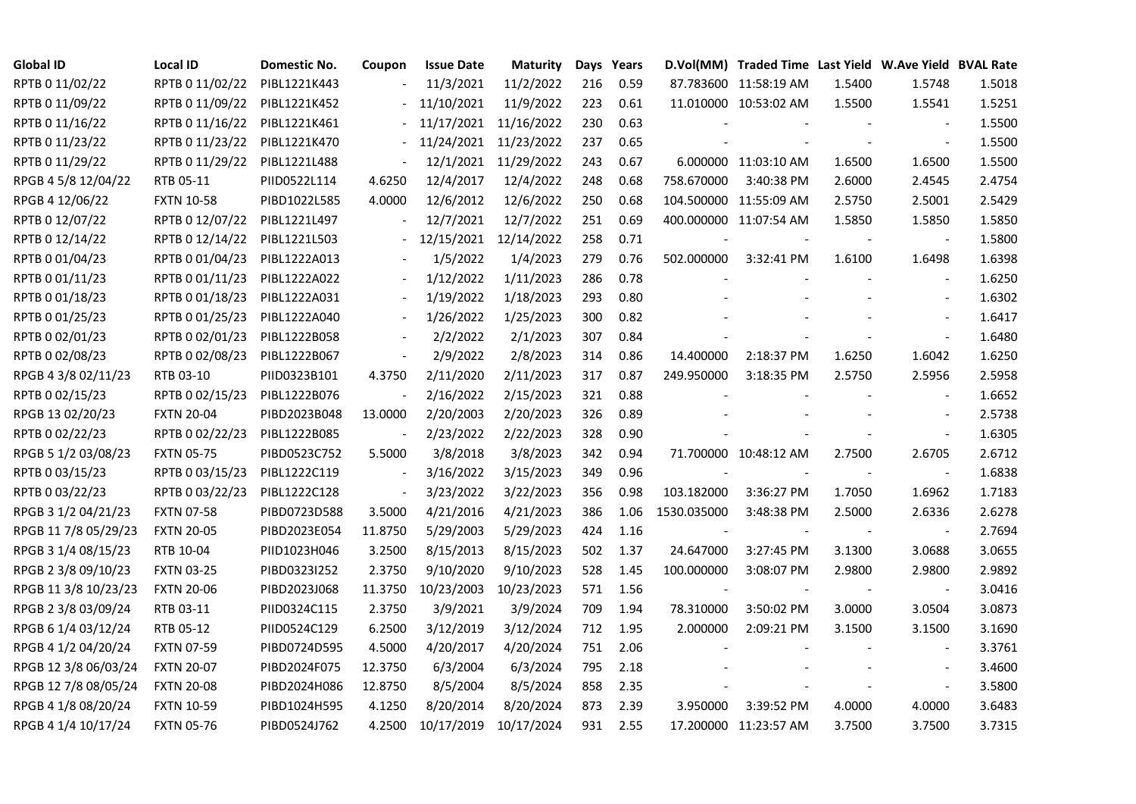| <b>Global ID</b>     | Local ID          | Domestic No. | Coupon                   | <b>Issue Date</b> | Maturity   |     | Days Years |             | D.Vol(MM) Traded Time Last Yield W.Ave Yield BVAL Rate |        |                          |        |
|----------------------|-------------------|--------------|--------------------------|-------------------|------------|-----|------------|-------------|--------------------------------------------------------|--------|--------------------------|--------|
| RPTB 0 11/02/22      | RPTB 0 11/02/22   | PIBL1221K443 |                          | 11/3/2021         | 11/2/2022  | 216 | 0.59       |             | 87.783600 11:58:19 AM                                  | 1.5400 | 1.5748                   | 1.5018 |
| RPTB 0 11/09/22      | RPTB 0 11/09/22   | PIBL1221K452 |                          | 11/10/2021        | 11/9/2022  | 223 | 0.61       |             | 11.010000 10:53:02 AM                                  | 1.5500 | 1.5541                   | 1.5251 |
| RPTB 0 11/16/22      | RPTB 0 11/16/22   | PIBL1221K461 |                          | 11/17/2021        | 11/16/2022 | 230 | 0.63       |             |                                                        |        |                          | 1.5500 |
| RPTB 0 11/23/22      | RPTB 0 11/23/22   | PIBL1221K470 | $\blacksquare$           | 11/24/2021        | 11/23/2022 | 237 | 0.65       |             |                                                        |        | $\blacksquare$           | 1.5500 |
| RPTB 0 11/29/22      | RPTB 0 11/29/22   | PIBL1221L488 | $\blacksquare$           | 12/1/2021         | 11/29/2022 | 243 | 0.67       |             | 6.000000 11:03:10 AM                                   | 1.6500 | 1.6500                   | 1.5500 |
| RPGB 4 5/8 12/04/22  | RTB 05-11         | PIID0522L114 | 4.6250                   | 12/4/2017         | 12/4/2022  | 248 | 0.68       | 758.670000  | 3:40:38 PM                                             | 2.6000 | 2.4545                   | 2.4754 |
| RPGB 4 12/06/22      | <b>FXTN 10-58</b> | PIBD1022L585 | 4.0000                   | 12/6/2012         | 12/6/2022  | 250 | 0.68       |             | 104.500000 11:55:09 AM                                 | 2.5750 | 2.5001                   | 2.5429 |
| RPTB 0 12/07/22      | RPTB 0 12/07/22   | PIBL1221L497 |                          | 12/7/2021         | 12/7/2022  | 251 | 0.69       |             | 400.000000 11:07:54 AM                                 | 1.5850 | 1.5850                   | 1.5850 |
| RPTB 0 12/14/22      | RPTB 0 12/14/22   | PIBL1221L503 |                          | 12/15/2021        | 12/14/2022 | 258 | 0.71       |             |                                                        |        |                          | 1.5800 |
| RPTB 0 01/04/23      | RPTB 0 01/04/23   | PIBL1222A013 |                          | 1/5/2022          | 1/4/2023   | 279 | 0.76       | 502.000000  | 3:32:41 PM                                             | 1.6100 | 1.6498                   | 1.6398 |
| RPTB 0 01/11/23      | RPTB 0 01/11/23   | PIBL1222A022 | $\blacksquare$           | 1/12/2022         | 1/11/2023  | 286 | 0.78       |             |                                                        |        | $\blacksquare$           | 1.6250 |
| RPTB 0 01/18/23      | RPTB 0 01/18/23   | PIBL1222A031 |                          | 1/19/2022         | 1/18/2023  | 293 | 0.80       |             |                                                        |        |                          | 1.6302 |
| RPTB 0 01/25/23      | RPTB 0 01/25/23   | PIBL1222A040 |                          | 1/26/2022         | 1/25/2023  | 300 | 0.82       |             |                                                        |        | $\overline{\phantom{a}}$ | 1.6417 |
| RPTB 0 02/01/23      | RPTB 0 02/01/23   | PIBL1222B058 |                          | 2/2/2022          | 2/1/2023   | 307 | 0.84       |             |                                                        |        | $\blacksquare$           | 1.6480 |
| RPTB 0 02/08/23      | RPTB 0 02/08/23   | PIBL1222B067 | $\overline{\phantom{a}}$ | 2/9/2022          | 2/8/2023   | 314 | 0.86       | 14.400000   | 2:18:37 PM                                             | 1.6250 | 1.6042                   | 1.6250 |
| RPGB 4 3/8 02/11/23  | RTB 03-10         | PIID0323B101 | 4.3750                   | 2/11/2020         | 2/11/2023  | 317 | 0.87       | 249.950000  | 3:18:35 PM                                             | 2.5750 | 2.5956                   | 2.5958 |
| RPTB 0 02/15/23      | RPTB 0 02/15/23   | PIBL1222B076 |                          | 2/16/2022         | 2/15/2023  | 321 | 0.88       |             |                                                        |        |                          | 1.6652 |
| RPGB 13 02/20/23     | <b>FXTN 20-04</b> | PIBD2023B048 | 13.0000                  | 2/20/2003         | 2/20/2023  | 326 | 0.89       |             |                                                        |        | $\blacksquare$           | 2.5738 |
| RPTB 0 02/22/23      | RPTB 0 02/22/23   | PIBL1222B085 | $\blacksquare$           | 2/23/2022         | 2/22/2023  | 328 | 0.90       |             |                                                        |        |                          | 1.6305 |
| RPGB 5 1/2 03/08/23  | <b>FXTN 05-75</b> | PIBD0523C752 | 5.5000                   | 3/8/2018          | 3/8/2023   | 342 | 0.94       |             | 71.700000 10:48:12 AM                                  | 2.7500 | 2.6705                   | 2.6712 |
| RPTB 0 03/15/23      | RPTB 0 03/15/23   | PIBL1222C119 | $\blacksquare$           | 3/16/2022         | 3/15/2023  | 349 | 0.96       |             | $\overline{\phantom{a}}$                               | $\sim$ | $\blacksquare$           | 1.6838 |
| RPTB 0 03/22/23      | RPTB 0 03/22/23   | PIBL1222C128 | $\blacksquare$           | 3/23/2022         | 3/22/2023  | 356 | 0.98       | 103.182000  | 3:36:27 PM                                             | 1.7050 | 1.6962                   | 1.7183 |
| RPGB 3 1/2 04/21/23  | <b>FXTN 07-58</b> | PIBD0723D588 | 3.5000                   | 4/21/2016         | 4/21/2023  | 386 | 1.06       | 1530.035000 | 3:48:38 PM                                             | 2.5000 | 2.6336                   | 2.6278 |
| RPGB 11 7/8 05/29/23 | <b>FXTN 20-05</b> | PIBD2023E054 | 11.8750                  | 5/29/2003         | 5/29/2023  | 424 | 1.16       |             |                                                        |        |                          | 2.7694 |
| RPGB 3 1/4 08/15/23  | RTB 10-04         | PIID1023H046 | 3.2500                   | 8/15/2013         | 8/15/2023  | 502 | 1.37       | 24.647000   | 3:27:45 PM                                             | 3.1300 | 3.0688                   | 3.0655 |
| RPGB 2 3/8 09/10/23  | <b>FXTN 03-25</b> | PIBD0323I252 | 2.3750                   | 9/10/2020         | 9/10/2023  | 528 | 1.45       | 100.000000  | 3:08:07 PM                                             | 2.9800 | 2.9800                   | 2.9892 |
| RPGB 11 3/8 10/23/23 | <b>FXTN 20-06</b> | PIBD2023J068 | 11.3750                  | 10/23/2003        | 10/23/2023 | 571 | 1.56       |             |                                                        |        | $\overline{\phantom{a}}$ | 3.0416 |
| RPGB 2 3/8 03/09/24  | RTB 03-11         | PIID0324C115 | 2.3750                   | 3/9/2021          | 3/9/2024   | 709 | 1.94       | 78.310000   | 3:50:02 PM                                             | 3.0000 | 3.0504                   | 3.0873 |
| RPGB 6 1/4 03/12/24  | RTB 05-12         | PIID0524C129 | 6.2500                   | 3/12/2019         | 3/12/2024  | 712 | 1.95       | 2.000000    | 2:09:21 PM                                             | 3.1500 | 3.1500                   | 3.1690 |
| RPGB 4 1/2 04/20/24  | <b>FXTN 07-59</b> | PIBD0724D595 | 4.5000                   | 4/20/2017         | 4/20/2024  | 751 | 2.06       |             |                                                        |        |                          | 3.3761 |
| RPGB 12 3/8 06/03/24 | <b>FXTN 20-07</b> | PIBD2024F075 | 12.3750                  | 6/3/2004          | 6/3/2024   | 795 | 2.18       |             |                                                        |        | $\blacksquare$           | 3.4600 |
| RPGB 12 7/8 08/05/24 | <b>FXTN 20-08</b> | PIBD2024H086 | 12.8750                  | 8/5/2004          | 8/5/2024   | 858 | 2.35       |             |                                                        |        | $\blacksquare$           | 3.5800 |
| RPGB 4 1/8 08/20/24  | <b>FXTN 10-59</b> | PIBD1024H595 | 4.1250                   | 8/20/2014         | 8/20/2024  | 873 | 2.39       | 3.950000    | 3:39:52 PM                                             | 4.0000 | 4.0000                   | 3.6483 |
| RPGB 4 1/4 10/17/24  | <b>FXTN 05-76</b> | PIBD0524J762 | 4.2500                   | 10/17/2019        | 10/17/2024 | 931 | 2.55       |             | 17.200000 11:23:57 AM                                  | 3.7500 | 3.7500                   | 3.7315 |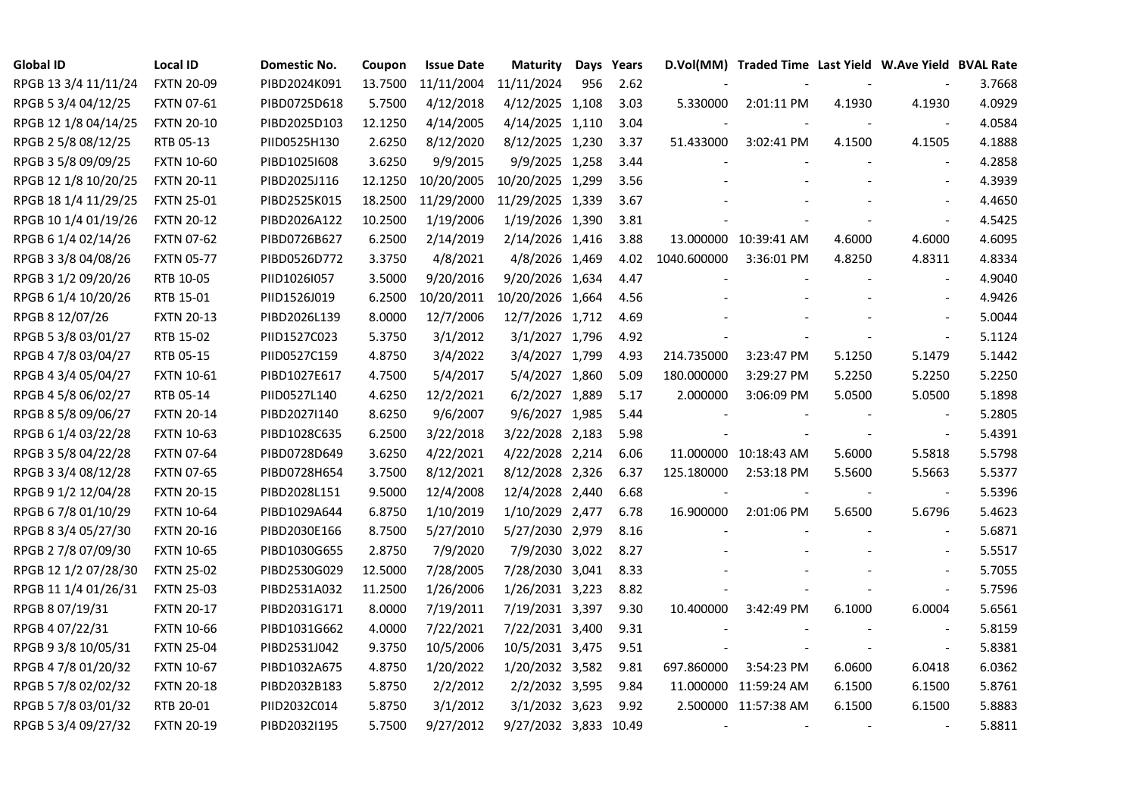| <b>Global ID</b>     | <b>Local ID</b>   | Domestic No. | Coupon  | <b>Issue Date</b> | <b>Maturity</b>       |     | Days Years |                          | D.Vol(MM) Traded Time Last Yield W.Ave Yield BVAL Rate |        |                          |        |
|----------------------|-------------------|--------------|---------|-------------------|-----------------------|-----|------------|--------------------------|--------------------------------------------------------|--------|--------------------------|--------|
| RPGB 13 3/4 11/11/24 | <b>FXTN 20-09</b> | PIBD2024K091 | 13.7500 | 11/11/2004        | 11/11/2024            | 956 | 2.62       |                          |                                                        |        |                          | 3.7668 |
| RPGB 5 3/4 04/12/25  | <b>FXTN 07-61</b> | PIBD0725D618 | 5.7500  | 4/12/2018         | 4/12/2025 1,108       |     | 3.03       | 5.330000                 | 2:01:11 PM                                             | 4.1930 | 4.1930                   | 4.0929 |
| RPGB 12 1/8 04/14/25 | <b>FXTN 20-10</b> | PIBD2025D103 | 12.1250 | 4/14/2005         | 4/14/2025 1,110       |     | 3.04       |                          |                                                        |        |                          | 4.0584 |
| RPGB 2 5/8 08/12/25  | RTB 05-13         | PIID0525H130 | 2.6250  | 8/12/2020         | 8/12/2025 1,230       |     | 3.37       | 51.433000                | 3:02:41 PM                                             | 4.1500 | 4.1505                   | 4.1888 |
| RPGB 3 5/8 09/09/25  | <b>FXTN 10-60</b> | PIBD10251608 | 3.6250  | 9/9/2015          | 9/9/2025 1,258        |     | 3.44       |                          |                                                        |        | $\blacksquare$           | 4.2858 |
| RPGB 12 1/8 10/20/25 | <b>FXTN 20-11</b> | PIBD2025J116 | 12.1250 | 10/20/2005        | 10/20/2025 1,299      |     | 3.56       |                          |                                                        |        | $\overline{\phantom{a}}$ | 4.3939 |
| RPGB 18 1/4 11/29/25 | <b>FXTN 25-01</b> | PIBD2525K015 | 18.2500 | 11/29/2000        | 11/29/2025 1,339      |     | 3.67       |                          |                                                        |        | $\sim$                   | 4.4650 |
| RPGB 10 1/4 01/19/26 | <b>FXTN 20-12</b> | PIBD2026A122 | 10.2500 | 1/19/2006         | 1/19/2026 1,390       |     | 3.81       |                          |                                                        |        | $\sim$                   | 4.5425 |
| RPGB 6 1/4 02/14/26  | <b>FXTN 07-62</b> | PIBD0726B627 | 6.2500  | 2/14/2019         | 2/14/2026 1,416       |     | 3.88       |                          | 13.000000 10:39:41 AM                                  | 4.6000 | 4.6000                   | 4.6095 |
| RPGB 3 3/8 04/08/26  | <b>FXTN 05-77</b> | PIBD0526D772 | 3.3750  | 4/8/2021          | 4/8/2026 1,469        |     | 4.02       | 1040.600000              | 3:36:01 PM                                             | 4.8250 | 4.8311                   | 4.8334 |
| RPGB 3 1/2 09/20/26  | RTB 10-05         | PIID1026I057 | 3.5000  | 9/20/2016         | 9/20/2026 1,634       |     | 4.47       |                          |                                                        |        | $\blacksquare$           | 4.9040 |
| RPGB 6 1/4 10/20/26  | RTB 15-01         | PIID1526J019 | 6.2500  | 10/20/2011        | 10/20/2026 1,664      |     | 4.56       |                          |                                                        |        | $\sim$                   | 4.9426 |
| RPGB 8 12/07/26      | <b>FXTN 20-13</b> | PIBD2026L139 | 8.0000  | 12/7/2006         | 12/7/2026 1,712       |     | 4.69       |                          |                                                        |        | $\blacksquare$           | 5.0044 |
| RPGB 5 3/8 03/01/27  | RTB 15-02         | PIID1527C023 | 5.3750  | 3/1/2012          | 3/1/2027 1,796        |     | 4.92       |                          |                                                        |        | $\omega$                 | 5.1124 |
| RPGB 4 7/8 03/04/27  | RTB 05-15         | PIID0527C159 | 4.8750  | 3/4/2022          | 3/4/2027 1,799        |     | 4.93       | 214.735000               | 3:23:47 PM                                             | 5.1250 | 5.1479                   | 5.1442 |
| RPGB 4 3/4 05/04/27  | <b>FXTN 10-61</b> | PIBD1027E617 | 4.7500  | 5/4/2017          | 5/4/2027 1,860        |     | 5.09       | 180.000000               | 3:29:27 PM                                             | 5.2250 | 5.2250                   | 5.2250 |
| RPGB 4 5/8 06/02/27  | RTB 05-14         | PIID0527L140 | 4.6250  | 12/2/2021         | 6/2/2027 1,889        |     | 5.17       | 2.000000                 | 3:06:09 PM                                             | 5.0500 | 5.0500                   | 5.1898 |
| RPGB 8 5/8 09/06/27  | <b>FXTN 20-14</b> | PIBD2027I140 | 8.6250  | 9/6/2007          | 9/6/2027 1,985        |     | 5.44       |                          |                                                        |        | $\blacksquare$           | 5.2805 |
| RPGB 6 1/4 03/22/28  | <b>FXTN 10-63</b> | PIBD1028C635 | 6.2500  | 3/22/2018         | 3/22/2028 2,183       |     | 5.98       |                          |                                                        |        | $\overline{\phantom{a}}$ | 5.4391 |
| RPGB 3 5/8 04/22/28  | <b>FXTN 07-64</b> | PIBD0728D649 | 3.6250  | 4/22/2021         | 4/22/2028 2,214       |     | 6.06       |                          | 11.000000 10:18:43 AM                                  | 5.6000 | 5.5818                   | 5.5798 |
| RPGB 3 3/4 08/12/28  | <b>FXTN 07-65</b> | PIBD0728H654 | 3.7500  | 8/12/2021         | 8/12/2028 2,326       |     | 6.37       | 125.180000               | 2:53:18 PM                                             | 5.5600 | 5.5663                   | 5.5377 |
| RPGB 9 1/2 12/04/28  | <b>FXTN 20-15</b> | PIBD2028L151 | 9.5000  | 12/4/2008         | 12/4/2028 2,440       |     | 6.68       |                          |                                                        |        | $\sim$                   | 5.5396 |
| RPGB 67/8 01/10/29   | <b>FXTN 10-64</b> | PIBD1029A644 | 6.8750  | 1/10/2019         | 1/10/2029 2,477       |     | 6.78       | 16.900000                | 2:01:06 PM                                             | 5.6500 | 5.6796                   | 5.4623 |
| RPGB 8 3/4 05/27/30  | <b>FXTN 20-16</b> | PIBD2030E166 | 8.7500  | 5/27/2010         | 5/27/2030 2,979       |     | 8.16       |                          |                                                        |        | $\sim$                   | 5.6871 |
| RPGB 2 7/8 07/09/30  | <b>FXTN 10-65</b> | PIBD1030G655 | 2.8750  | 7/9/2020          | 7/9/2030 3,022        |     | 8.27       |                          |                                                        |        | $\overline{\phantom{a}}$ | 5.5517 |
| RPGB 12 1/2 07/28/30 | <b>FXTN 25-02</b> | PIBD2530G029 | 12.5000 | 7/28/2005         | 7/28/2030 3,041       |     | 8.33       |                          |                                                        |        | $\overline{\phantom{a}}$ | 5.7055 |
| RPGB 11 1/4 01/26/31 | <b>FXTN 25-03</b> | PIBD2531A032 | 11.2500 | 1/26/2006         | 1/26/2031 3,223       |     | 8.82       |                          |                                                        |        | $\blacksquare$           | 5.7596 |
| RPGB 8 07/19/31      | <b>FXTN 20-17</b> | PIBD2031G171 | 8.0000  | 7/19/2011         | 7/19/2031 3,397       |     | 9.30       | 10.400000                | 3:42:49 PM                                             | 6.1000 | 6.0004                   | 5.6561 |
| RPGB 4 07/22/31      | <b>FXTN 10-66</b> | PIBD1031G662 | 4.0000  | 7/22/2021         | 7/22/2031 3,400       |     | 9.31       |                          |                                                        |        |                          | 5.8159 |
| RPGB 9 3/8 10/05/31  | <b>FXTN 25-04</b> | PIBD2531J042 | 9.3750  | 10/5/2006         | 10/5/2031 3,475       |     | 9.51       |                          |                                                        |        | $\overline{a}$           | 5.8381 |
| RPGB 4 7/8 01/20/32  | <b>FXTN 10-67</b> | PIBD1032A675 | 4.8750  | 1/20/2022         | 1/20/2032 3,582       |     | 9.81       | 697.860000               | 3:54:23 PM                                             | 6.0600 | 6.0418                   | 6.0362 |
| RPGB 5 7/8 02/02/32  | <b>FXTN 20-18</b> | PIBD2032B183 | 5.8750  | 2/2/2012          | 2/2/2032 3,595        |     | 9.84       |                          | 11.000000 11:59:24 AM                                  | 6.1500 | 6.1500                   | 5.8761 |
| RPGB 5 7/8 03/01/32  | RTB 20-01         | PIID2032C014 | 5.8750  | 3/1/2012          | 3/1/2032 3,623        |     | 9.92       |                          | 2.500000 11:57:38 AM                                   | 6.1500 | 6.1500                   | 5.8883 |
| RPGB 5 3/4 09/27/32  | <b>FXTN 20-19</b> | PIBD2032I195 | 5.7500  | 9/27/2012         | 9/27/2032 3,833 10.49 |     |            | $\overline{\phantom{a}}$ |                                                        |        | $\overline{\phantom{a}}$ | 5.8811 |